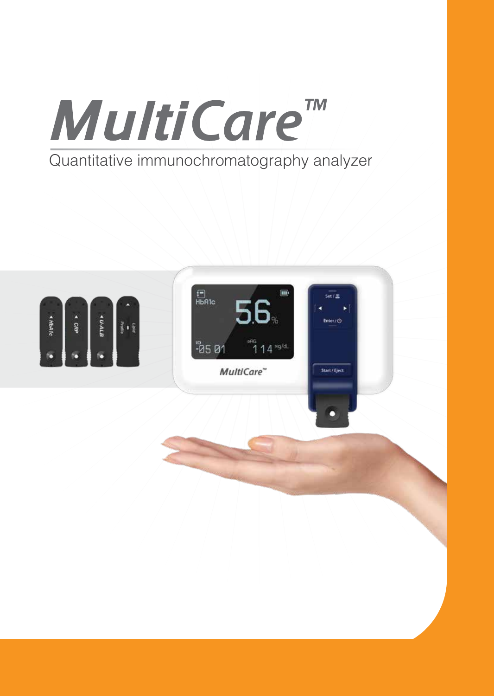

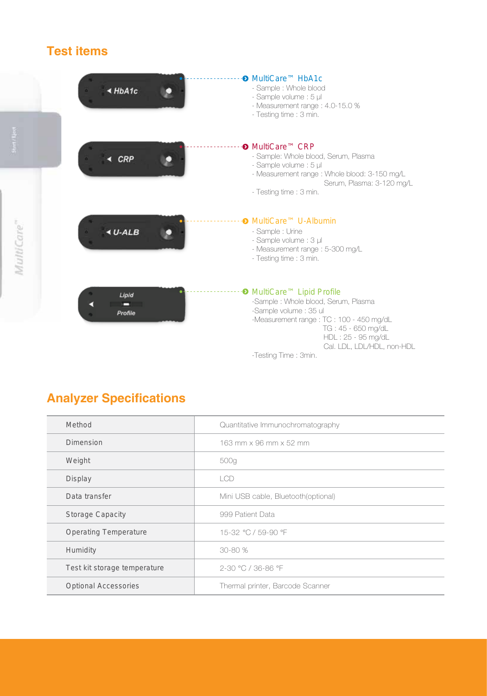# **Test items**

|            | $\triangle$ HbA1c | <b><sup>O</sup></b> MultiCare <sup>™</sup> HbA1c<br>- Sample : Whole blood<br>- Sample volume : 5 µl<br>- Measurement range : 4.0-15.0 %<br>- Testing time : 3 min.                                                                                                 |
|------------|-------------------|---------------------------------------------------------------------------------------------------------------------------------------------------------------------------------------------------------------------------------------------------------------------|
|            | <b>CRP</b>        | <b><sup>O</sup></b> MultiCare <sup>™</sup> CRP<br>- Sample: Whole blood, Serum, Plasma<br>- Sample volume : 5 µl<br>- Measurement range : Whole blood: 3-150 mg/L<br>Serum, Plasma: 3-120 mg/L<br>- Testing time : 3 min.                                           |
| MultiCare" | $4 U-ALB$         | • MultiCare™ U-Albumin<br>- Sample : Urine<br>- Sample volume : 3 µl<br>- Measurement range : 5-300 mg/L<br>- Testing time : 3 min.                                                                                                                                 |
|            | Lipid<br>Profile  | <sup>O</sup> MultiCare <sup>™</sup> Lipid Profile<br>-Sample : Whole blood, Serum, Plasma<br>-Sample volume : 35 ul<br>-Measurement range : TC : 100 - 450 mg/dL<br>TG: 45 - 650 mg/dL<br>HDL: 25 - 95 mg/dL<br>Cal. LDL, LDL/HDL, non-HDL<br>-Testing Time : 3min. |

# **Analyzer Specifications**

| Method                       | Quantitative Immunochromatography   |  |
|------------------------------|-------------------------------------|--|
| Dimension                    | 163 mm x 96 mm x 52 mm              |  |
| Weight                       | 500g                                |  |
| Display                      | <b>LCD</b>                          |  |
| Data transfer                | Mini USB cable, Bluetooth(optional) |  |
| <b>Storage Capacity</b>      | 999 Patient Data                    |  |
| <b>Operating Temperature</b> | 15-32 °C / 59-90 °F                 |  |
| Humidity                     | 30-80 %                             |  |
| Test kit storage temperature | 2-30 °C / 36-86 °F                  |  |
| <b>Optional Accessories</b>  | Thermal printer, Barcode Scanner    |  |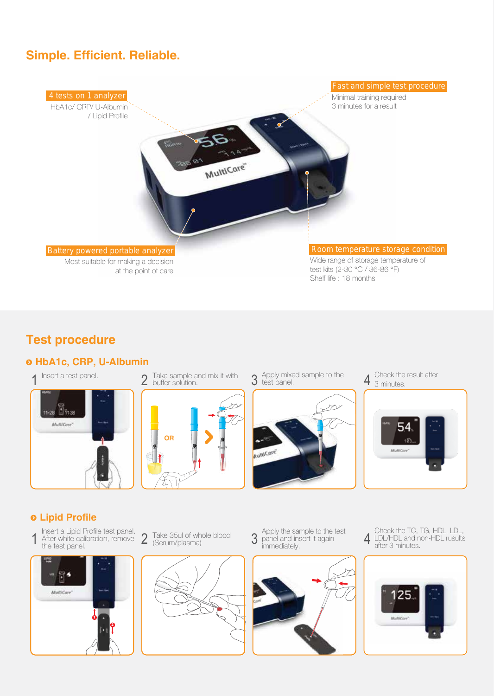## **Simple. Efficient. Reliable.**



### **Test procedure**

## **HbA1c, CRP, U-Albumin**







Apply mixed sample to the



Check the result after 4 3 minutes.



### **Lipid Profile**

Insert a Lipid Profile test panel. After white calibration, remove the test panel. 1 After white calibration, remove 2 Take 35ul of whole blood 3 panel and insert it again<br>the test panel. 4 (Serum/plasma)



Take 35ul of whole blood (Serum/plasma)



Apply the sample to the test panel and insert it again



Check the TC, TG, HDL, LDL, LDL/HDL and non-HDL rusults after 3 minutes.

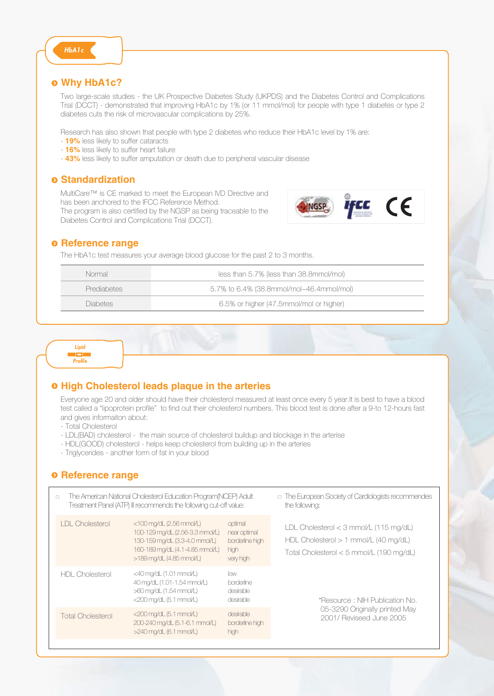#### **Why HbA1c?**

*HbA1c*

Two large-scale studies - the UK Prospective Diabetes Study (UKPDS) and the Diabetes Control and Complications Trial (DCCT) - demonstrated that improving HbA1c by 1% (or 11 mmol/mol) for people with type 1 diabetes or type 2 diabetes cuts the risk of microvascular complications by 25%.

Research has also shown that people with type 2 diabetes who reduce their HbA1c level by 1% are:

- **19%** less likely to suffer cataracts
- **16%** less likely to suffer heart failure
- **43%** less likely to suffer amputation or death due to peripheral vascular disease

#### $\circ$  **Standardization**

MultiCare™ is CE marked to meet the European IVD Directive and has been anchored to the IFCC Reference Method. The program is also certified by the NGSP as being traceable to the Diabetes Control and Complications Trial (DCCT).



#### $\theta$  Reference range

The HbA1c test measures your average blood glucose for the past 2 to 3 months.

| Normal             | less than 5.7% (less than 38.8mmol/mol)  |
|--------------------|------------------------------------------|
| <b>Prediabetes</b> | 5.7% to 6.4% (38.8mmol/mol~46.4mmol/mol) |
| <b>Diabetes</b>    | 6.5% or higher (47.5mmol/mol or higher)  |

*Lipid* i sin *Profile*

#### **High Cholesterol leads plaque in the arteries**

Everyone age 20 and older should have their cholesterol measured at least once every 5 year.It is best to have a blood test called a "lipoprotein profile" to find out their cholesterol numbers. This blood test is done after a 9-to 12-hours fast and gives informaiton about:

- Total Cholesterol
- LDL(BAD) cholesterol the main source of cholesterol buildup and blockage in the arterise
- HDL(GOOD) cholesterol helps keep cholesterol from building up in the arteries
- Triglycerides another form of fat in your blood

#### $Q$  Reference range

| The American National Cholesterol Education Program (NCEP) Adult<br>$\Box$<br>Treatment Panel (ATP) III recommends the following cut-off value: |                                                                                                                                                                     |                                                                 | $\Box$ The European Society of Cardiologists recommendes<br>the following:                                                          |
|-------------------------------------------------------------------------------------------------------------------------------------------------|---------------------------------------------------------------------------------------------------------------------------------------------------------------------|-----------------------------------------------------------------|-------------------------------------------------------------------------------------------------------------------------------------|
| <b>IDI</b> Cholesterol                                                                                                                          | $<$ 100 mg/dL $(2.56$ mmol/L)<br>100-129 mg/dL (2.56-3.3 mmol/L)<br>130-159 mg/dL (3.3-4.0 mmol/L)<br>160-189 mg/dL (4.1-4.85 mmol/L)<br>$>189$ mg/dL (4.85 mmol/L) | optimal<br>near optimal<br>borderline high<br>high<br>very high | $LDL$ Cholesterol < 3 mmol/L (115 mg/dL)<br>$HDL$ Cholesterol $> 1$ mmol/L (40 mg/dL)<br>Total Cholesterol $<$ 5 mmol/L (190 mg/dL) |
| HDI Cholesterol                                                                                                                                 | $<$ 40 mg/dL $(1.01$ mmol/L)<br>40 mg/dL (1.01-1.54 mmol/L)<br>>60 mg/dL (1.54 mmol/L)<br>$<$ 200 mg/dL $(5.1$ mmol/L)                                              | low<br>borderline<br>desirable<br>desirable                     | *Resource : NIH Publication No.                                                                                                     |
| <b>Total Cholesterol</b>                                                                                                                        | $<$ 200 mg/dL $(5.1$ mmol/L)<br>200-240 mg/dL (5.1-6.1 mmol/L)<br>$>240$ mg/dL (6.1 mmol/L)                                                                         | desirable<br>borderline high<br>high                            | 05-3290 Originally printed May<br>2001/ Reviseed June 2005                                                                          |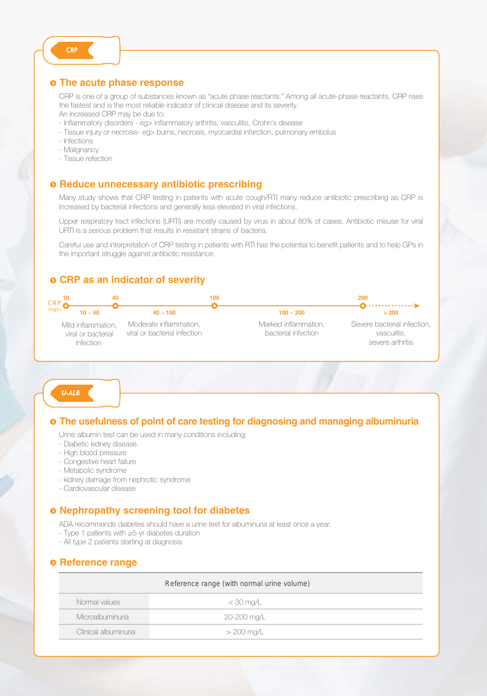#### **The acute phase response**

CRP is one of a group of substances known as "acute phase reactants." Among all acute-phase reactants, CRP rises the fastest and is the most reliable indicator of clinical disease and its severity.

- An increased CRP may be due to:
- Inflammatory disorders eg> inflammatory arthritis, vasculitis, Crohn's disease
- Tissue injury or necrosis- eg> burns, necrosis, myocardial infarction, pulmonary embolus
- Infections
- Malignancy
- Tissue refection

#### **Reduce unnecessary antibiotic prescribing**

Many study shows that CRP testing in patients with acute cough/RTI many reduce antibiotic prescribing as CRP is increased by bacterial infections and generally less elevated in viral infections.

Upper respiratory tract infections (URTI) are mostly caused by virus in about 80% of cases. Antibiotic misuse for viral URTI is a serious problem that results in resistant strains of bacteria.

Careful use and interpretation of CRP testing in patients with RTI has the potential to benefit patients and to help GPs in the important struggle against antibiotic resistance.

#### **CRP as an indicator of severity**



*U-ALB*

#### **The usefulness of point of care testing for diagnosing and managing albuminuria**

Urine albumin test can be used in many conditions including;

- Diabetic kidney disease.
- High blood pressure
- Congestive heart failure
- Metabolic syndrome
- kidney damage from nephrotic syndrome
- Cardiovascular disease

#### **Nephropathy screening tool for diabetes**

ADA recommends diabetes should have a urine test for albuminuria at least once a year.

- Type 1 patients with ≥5-yr diabetes duration
- All type 2 patients starting at diagnosis

#### $\odot$  **Reference range**

| Reference range (with normal urine volume) |             |  |
|--------------------------------------------|-------------|--|
| Normal values                              | $<$ 30 mg/L |  |
| Microalbuminuria                           | 20-200 mg/L |  |
| Clinical albuminuria                       | > 200 mg/L  |  |

*CRP*